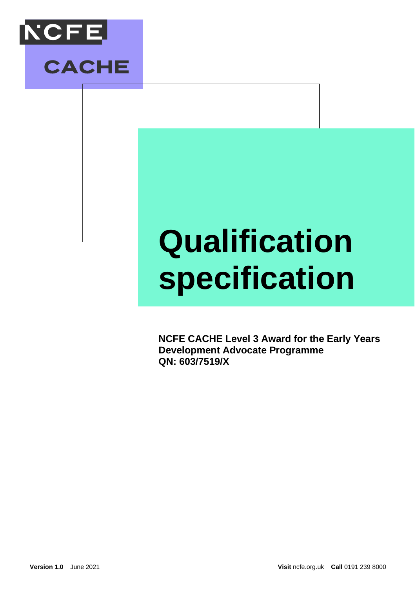

## **Qualification specification**

**NCFE CACHE Level 3 Award for the Early Years Development Advocate Programme QN: 603/7519/X**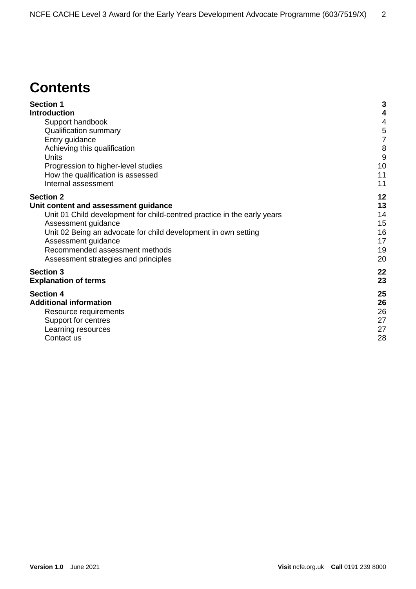### **Contents**

| <b>Section 1</b>                                                        | 3  |
|-------------------------------------------------------------------------|----|
| <b>Introduction</b>                                                     | 4  |
| Support handbook                                                        | 4  |
| <b>Qualification summary</b>                                            | 5  |
| Entry guidance                                                          | 7  |
| Achieving this qualification                                            | 8  |
| Units                                                                   | 9  |
| Progression to higher-level studies                                     | 10 |
| How the qualification is assessed                                       | 11 |
| Internal assessment                                                     | 11 |
| <b>Section 2</b>                                                        | 12 |
| Unit content and assessment guidance                                    | 13 |
| Unit 01 Child development for child-centred practice in the early years | 14 |
| Assessment guidance                                                     | 15 |
| Unit 02 Being an advocate for child development in own setting          | 16 |
| Assessment guidance                                                     | 17 |
| Recommended assessment methods                                          | 19 |
| Assessment strategies and principles                                    | 20 |
| <b>Section 3</b>                                                        | 22 |
| <b>Explanation of terms</b>                                             | 23 |
| <b>Section 4</b>                                                        | 25 |
| <b>Additional information</b>                                           | 26 |
| Resource requirements                                                   | 26 |
| Support for centres                                                     | 27 |
| Learning resources                                                      | 27 |
| Contact us                                                              | 28 |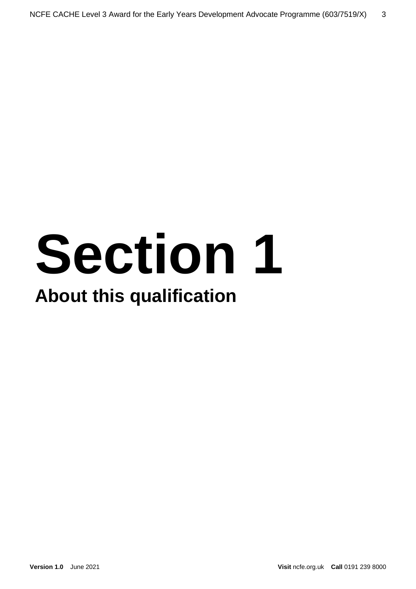# **Section 1 About this qualification**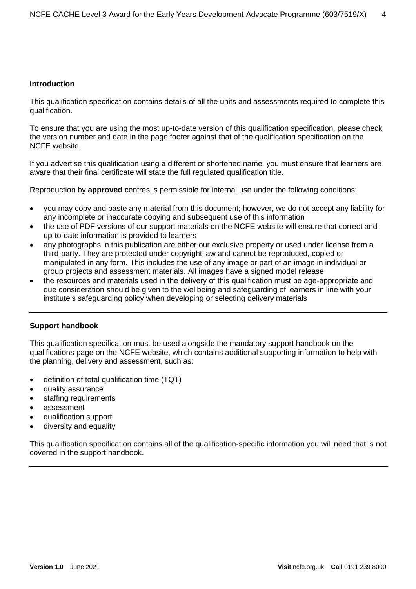#### <span id="page-3-0"></span>**Introduction**

This qualification specification contains details of all the units and assessments required to complete this qualification.

To ensure that you are using the most up-to-date version of this qualification specification, please check the version number and date in the page footer against that of the qualification specification on the NCFE website.

If you advertise this qualification using a different or shortened name, you must ensure that learners are aware that their final certificate will state the full regulated qualification title.

Reproduction by **approved** centres is permissible for internal use under the following conditions:

- you may copy and paste any material from this document; however, we do not accept any liability for any incomplete or inaccurate copying and subsequent use of this information
- the use of PDF versions of our support materials on the NCFE website will ensure that correct and up-to-date information is provided to learners
- any photographs in this publication are either our exclusive property or used under license from a third-party. They are protected under copyright law and cannot be reproduced, copied or manipulated in any form. This includes the use of any image or part of an image in individual or group projects and assessment materials. All images have a signed model release
- the resources and materials used in the delivery of this qualification must be age-appropriate and due consideration should be given to the wellbeing and safeguarding of learners in line with your institute's safeguarding policy when developing or selecting delivery materials

#### <span id="page-3-1"></span>**Support handbook**

This qualification specification must be used alongside the mandatory support handbook on the qualifications page on the NCFE website, which contains additional supporting information to help with the planning, delivery and assessment, such as:

- definition of total qualification time (TQT)
- quality assurance
- staffing requirements
- assessment
- qualification support
- diversity and equality

This qualification specification contains all of the qualification-specific information you will need that is not covered in the support handbook.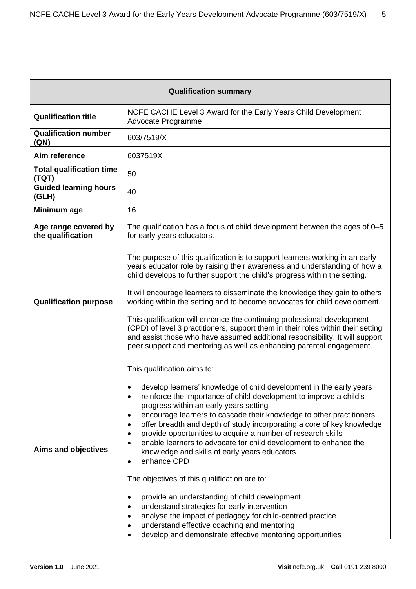<span id="page-4-0"></span>

| <b>Qualification summary</b>              |                                                                                                                                                                                                                                                                                                                                                                                                                                                                                                                                                                                                                                                                                                                                                                                                                                                                                                                                                                                       |  |  |
|-------------------------------------------|---------------------------------------------------------------------------------------------------------------------------------------------------------------------------------------------------------------------------------------------------------------------------------------------------------------------------------------------------------------------------------------------------------------------------------------------------------------------------------------------------------------------------------------------------------------------------------------------------------------------------------------------------------------------------------------------------------------------------------------------------------------------------------------------------------------------------------------------------------------------------------------------------------------------------------------------------------------------------------------|--|--|
| <b>Qualification title</b>                | NCFE CACHE Level 3 Award for the Early Years Child Development<br>Advocate Programme                                                                                                                                                                                                                                                                                                                                                                                                                                                                                                                                                                                                                                                                                                                                                                                                                                                                                                  |  |  |
| <b>Qualification number</b><br>(QN)       | 603/7519/X                                                                                                                                                                                                                                                                                                                                                                                                                                                                                                                                                                                                                                                                                                                                                                                                                                                                                                                                                                            |  |  |
| Aim reference                             | 6037519X                                                                                                                                                                                                                                                                                                                                                                                                                                                                                                                                                                                                                                                                                                                                                                                                                                                                                                                                                                              |  |  |
| <b>Total qualification time</b><br>(TQT)  | 50                                                                                                                                                                                                                                                                                                                                                                                                                                                                                                                                                                                                                                                                                                                                                                                                                                                                                                                                                                                    |  |  |
| <b>Guided learning hours</b><br>(GLH)     | 40                                                                                                                                                                                                                                                                                                                                                                                                                                                                                                                                                                                                                                                                                                                                                                                                                                                                                                                                                                                    |  |  |
| Minimum age                               | 16                                                                                                                                                                                                                                                                                                                                                                                                                                                                                                                                                                                                                                                                                                                                                                                                                                                                                                                                                                                    |  |  |
| Age range covered by<br>the qualification | The qualification has a focus of child development between the ages of 0-5<br>for early years educators.                                                                                                                                                                                                                                                                                                                                                                                                                                                                                                                                                                                                                                                                                                                                                                                                                                                                              |  |  |
| <b>Qualification purpose</b>              | The purpose of this qualification is to support learners working in an early<br>years educator role by raising their awareness and understanding of how a<br>child develops to further support the child's progress within the setting.<br>It will encourage learners to disseminate the knowledge they gain to others<br>working within the setting and to become advocates for child development.<br>This qualification will enhance the continuing professional development<br>(CPD) of level 3 practitioners, support them in their roles within their setting<br>and assist those who have assumed additional responsibility. It will support<br>peer support and mentoring as well as enhancing parental engagement.                                                                                                                                                                                                                                                            |  |  |
| <b>Aims and objectives</b>                | This qualification aims to:<br>develop learners' knowledge of child development in the early years<br>reinforce the importance of child development to improve a child's<br>progress within an early years setting<br>encourage learners to cascade their knowledge to other practitioners<br>$\bullet$<br>offer breadth and depth of study incorporating a core of key knowledge<br>$\bullet$<br>provide opportunities to acquire a number of research skills<br>$\bullet$<br>enable learners to advocate for child development to enhance the<br>$\bullet$<br>knowledge and skills of early years educators<br>enhance CPD<br>$\bullet$<br>The objectives of this qualification are to:<br>provide an understanding of child development<br>$\bullet$<br>understand strategies for early intervention<br>٠<br>analyse the impact of pedagogy for child-centred practice<br>understand effective coaching and mentoring<br>develop and demonstrate effective mentoring opportunities |  |  |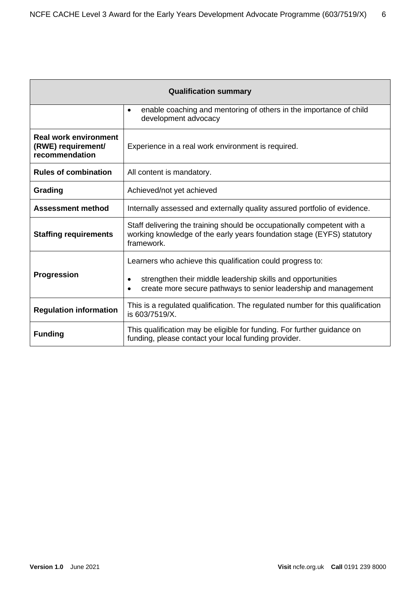| <b>Qualification summary</b>                                         |                                                                                                                                                                 |  |  |
|----------------------------------------------------------------------|-----------------------------------------------------------------------------------------------------------------------------------------------------------------|--|--|
|                                                                      | enable coaching and mentoring of others in the importance of child<br>$\bullet$<br>development advocacy                                                         |  |  |
| <b>Real work environment</b><br>(RWE) requirement/<br>recommendation | Experience in a real work environment is required.                                                                                                              |  |  |
| <b>Rules of combination</b>                                          | All content is mandatory.                                                                                                                                       |  |  |
| Grading                                                              | Achieved/not yet achieved                                                                                                                                       |  |  |
| <b>Assessment method</b>                                             | Internally assessed and externally quality assured portfolio of evidence.                                                                                       |  |  |
| <b>Staffing requirements</b>                                         | Staff delivering the training should be occupationally competent with a<br>working knowledge of the early years foundation stage (EYFS) statutory<br>framework. |  |  |
|                                                                      | Learners who achieve this qualification could progress to:                                                                                                      |  |  |
| <b>Progression</b>                                                   | strengthen their middle leadership skills and opportunities<br>$\bullet$<br>create more secure pathways to senior leadership and management                     |  |  |
| <b>Regulation information</b>                                        | This is a regulated qualification. The regulated number for this qualification<br>is 603/7519/X.                                                                |  |  |
| <b>Funding</b>                                                       | This qualification may be eligible for funding. For further guidance on<br>funding, please contact your local funding provider.                                 |  |  |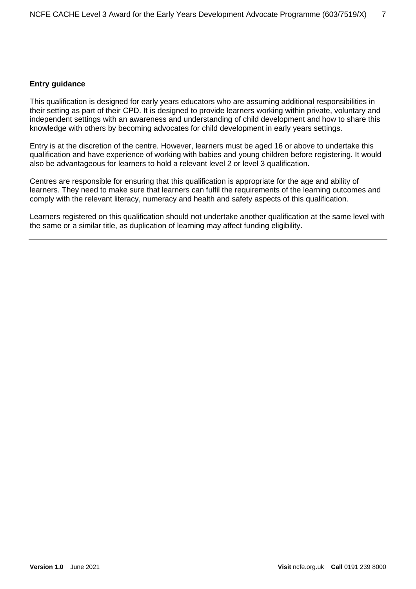#### <span id="page-6-0"></span>**Entry guidance**

This qualification is designed for early years educators who are assuming additional responsibilities in their setting as part of their CPD. It is designed to provide learners working within private, voluntary and independent settings with an awareness and understanding of child development and how to share this knowledge with others by becoming advocates for child development in early years settings.

Entry is at the discretion of the centre. However, learners must be aged 16 or above to undertake this qualification and have experience of working with babies and young children before registering. It would also be advantageous for learners to hold a relevant level 2 or level 3 qualification.

Centres are responsible for ensuring that this qualification is appropriate for the age and ability of learners. They need to make sure that learners can fulfil the requirements of the learning outcomes and comply with the relevant literacy, numeracy and health and safety aspects of this qualification.

Learners registered on this qualification should not undertake another qualification at the same level with the same or a similar title, as duplication of learning may affect funding eligibility.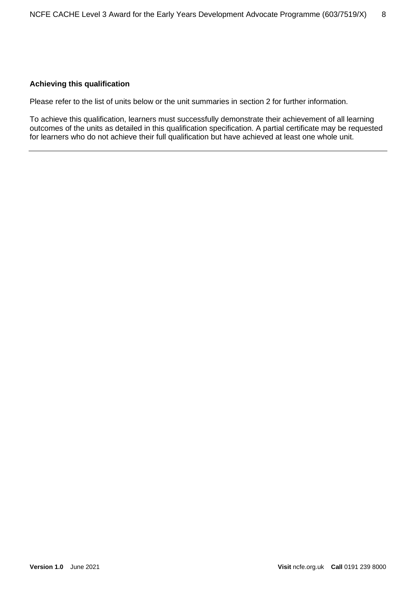#### <span id="page-7-0"></span>**Achieving this qualification**

Please refer to the list of units below or the unit summaries in section 2 for further information.

To achieve this qualification, learners must successfully demonstrate their achievement of all learning outcomes of the units as detailed in this qualification specification. A partial certificate may be requested for learners who do not achieve their full qualification but have achieved at least one whole unit.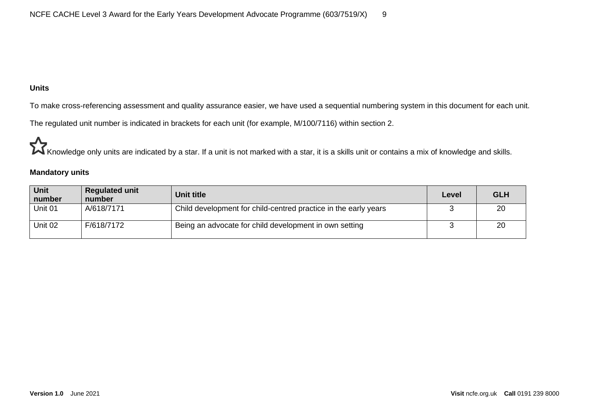#### **Units**

To make cross-referencing assessment and quality assurance easier, we have used a sequential numbering system in this document for each unit.

The regulated unit number is indicated in brackets for each unit (for example, M/100/7116) within section 2.

Knowledge only units are indicated by a star. If a unit is not marked with a star, it is a skills unit or contains a mix of knowledge and skills.

#### **Mandatory units**

<span id="page-8-0"></span>

| <b>Unit</b><br>number | <b>Regulated unit</b><br>number | <b>Unit title</b>                                               | Level | <b>GLH</b> |
|-----------------------|---------------------------------|-----------------------------------------------------------------|-------|------------|
| Unit 01               | A/618/7171                      | Child development for child-centred practice in the early years |       | 20         |
| Unit 02               | F/618/7172                      | Being an advocate for child development in own setting          |       | 20         |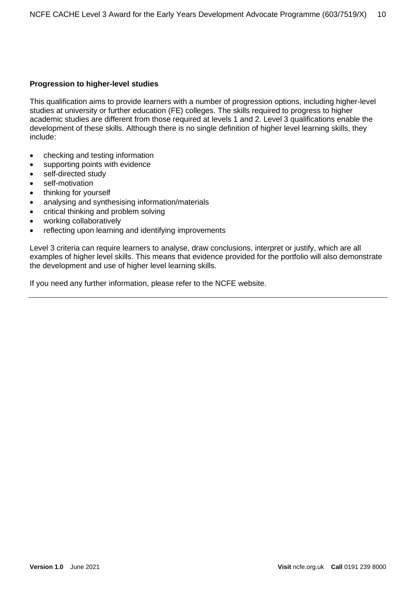#### <span id="page-9-0"></span>**Progression to higher-level studies**

This qualification aims to provide learners with a number of progression options, including higher-level studies at university or further education (FE) colleges. The skills required to progress to higher academic studies are different from those required at levels 1 and 2. Level 3 qualifications enable the development of these skills. Although there is no single definition of higher level learning skills, they include:

- checking and testing information
- supporting points with evidence
- self-directed study
- self-motivation
- thinking for yourself
- analysing and synthesising information/materials
- critical thinking and problem solving
- working collaboratively
- reflecting upon learning and identifying improvements

Level 3 criteria can require learners to analyse, draw conclusions, interpret or justify, which are all examples of higher level skills. This means that evidence provided for the portfolio will also demonstrate the development and use of higher level learning skills.

If you need any further information, please refer to the NCFE website.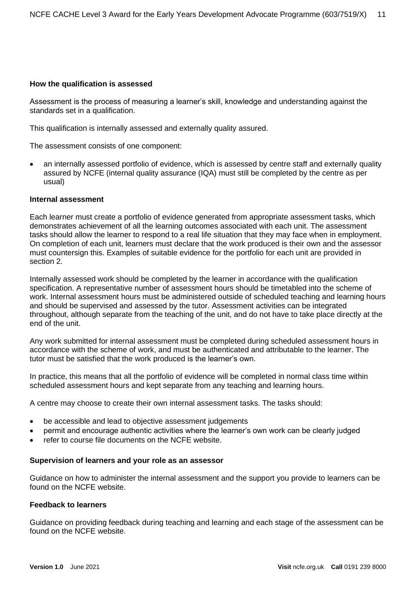#### <span id="page-10-0"></span>**How the qualification is assessed**

Assessment is the process of measuring a learner's skill, knowledge and understanding against the standards set in a qualification.

This qualification is internally assessed and externally quality assured.

The assessment consists of one component:

• an internally assessed portfolio of evidence, which is assessed by centre staff and externally quality assured by NCFE (internal quality assurance (IQA) must still be completed by the centre as per usual)

#### <span id="page-10-1"></span>**Internal assessment**

Each learner must create a portfolio of evidence generated from appropriate assessment tasks, which demonstrates achievement of all the learning outcomes associated with each unit. The assessment tasks should allow the learner to respond to a real life situation that they may face when in employment. On completion of each unit, learners must declare that the work produced is their own and the assessor must countersign this. Examples of suitable evidence for the portfolio for each unit are provided in section 2.

Internally assessed work should be completed by the learner in accordance with the qualification specification. A representative number of assessment hours should be timetabled into the scheme of work. Internal assessment hours must be administered outside of scheduled teaching and learning hours and should be supervised and assessed by the tutor. Assessment activities can be integrated throughout, although separate from the teaching of the unit, and do not have to take place directly at the end of the unit.

Any work submitted for internal assessment must be completed during scheduled assessment hours in accordance with the scheme of work, and must be authenticated and attributable to the learner. The tutor must be satisfied that the work produced is the learner's own.

In practice, this means that all the portfolio of evidence will be completed in normal class time within scheduled assessment hours and kept separate from any teaching and learning hours.

A centre may choose to create their own internal assessment tasks. The tasks should:

- be accessible and lead to objective assessment judgements
- permit and encourage authentic activities where the learner's own work can be clearly judged
- refer to course file documents on the NCFE website.

#### **Supervision of learners and your role as an assessor**

Guidance on how to administer the internal assessment and the support you provide to learners can be found on the NCFE website.

#### **Feedback to learners**

Guidance on providing feedback during teaching and learning and each stage of the assessment can be found on the NCFE website.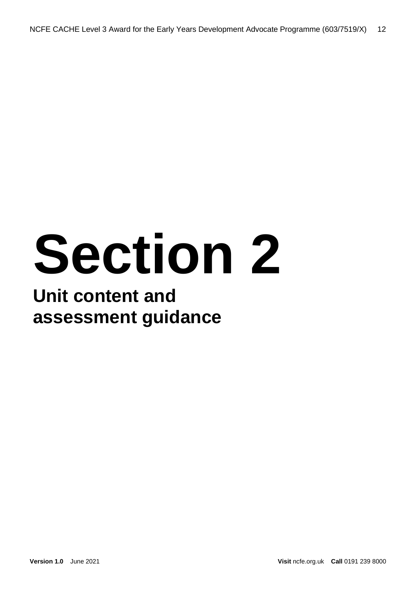# **Section 2**

### **Unit content and assessment guidance**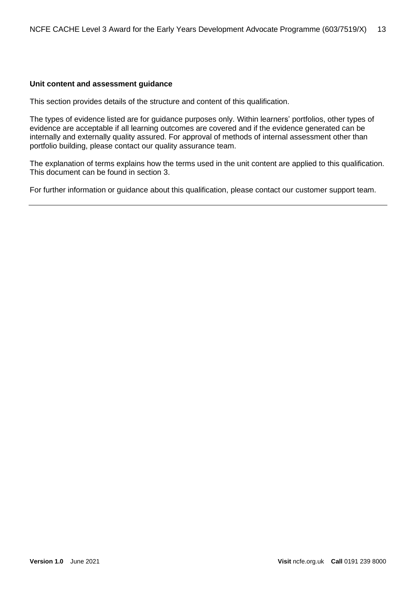#### <span id="page-12-0"></span>**Unit content and assessment guidance**

This section provides details of the structure and content of this qualification.

The types of evidence listed are for guidance purposes only. Within learners' portfolios, other types of evidence are acceptable if all learning outcomes are covered and if the evidence generated can be internally and externally quality assured. For approval of methods of internal assessment other than portfolio building, please contact our quality assurance team.

The explanation of terms explains how the terms used in the unit content are applied to this qualification. This document can be found in section 3.

For further information or guidance about this qualification, please contact our customer support team.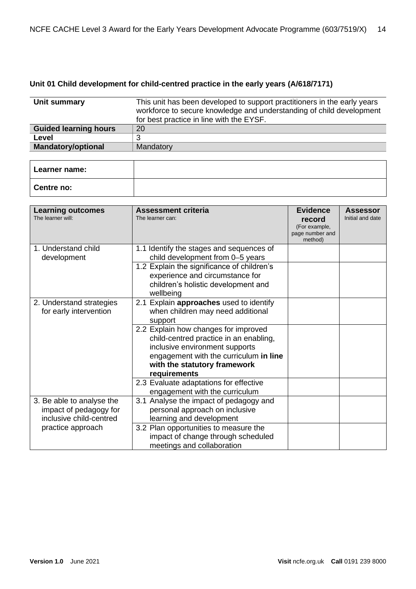#### <span id="page-13-0"></span>**Unit 01 Child development for child-centred practice in the early years (A/618/7171)**

| Unit summary                 | This unit has been developed to support practitioners in the early years<br>workforce to secure knowledge and understanding of child development<br>for best practice in line with the EYSF. |  |
|------------------------------|----------------------------------------------------------------------------------------------------------------------------------------------------------------------------------------------|--|
| <b>Guided learning hours</b> | 20                                                                                                                                                                                           |  |
| Level                        | 3                                                                                                                                                                                            |  |
| <b>Mandatory/optional</b>    | Mandatory                                                                                                                                                                                    |  |
|                              |                                                                                                                                                                                              |  |
| Learner name:                |                                                                                                                                                                                              |  |
| Centre no:                   |                                                                                                                                                                                              |  |

| <b>Learning outcomes</b><br>The learner will:                                  | <b>Assessment criteria</b><br>The learner can:                                                                                                                                             | <b>Evidence</b><br>record<br>(For example,<br>page number and | <b>Assessor</b><br>Initial and date |
|--------------------------------------------------------------------------------|--------------------------------------------------------------------------------------------------------------------------------------------------------------------------------------------|---------------------------------------------------------------|-------------------------------------|
| 1. Understand child<br>development                                             | 1.1 Identify the stages and sequences of<br>child development from 0-5 years                                                                                                               | method)                                                       |                                     |
|                                                                                | 1.2 Explain the significance of children's<br>experience and circumstance for<br>children's holistic development and<br>wellbeing                                                          |                                                               |                                     |
| 2. Understand strategies<br>for early intervention                             | 2.1 Explain approaches used to identify<br>when children may need additional<br>support                                                                                                    |                                                               |                                     |
|                                                                                | 2.2 Explain how changes for improved<br>child-centred practice in an enabling,<br>inclusive environment supports<br>engagement with the curriculum in line<br>with the statutory framework |                                                               |                                     |
|                                                                                | requirements<br>2.3 Evaluate adaptations for effective<br>engagement with the curriculum                                                                                                   |                                                               |                                     |
| 3. Be able to analyse the<br>impact of pedagogy for<br>inclusive child-centred | 3.1 Analyse the impact of pedagogy and<br>personal approach on inclusive<br>learning and development                                                                                       |                                                               |                                     |
| practice approach                                                              | 3.2 Plan opportunities to measure the<br>impact of change through scheduled<br>meetings and collaboration                                                                                  |                                                               |                                     |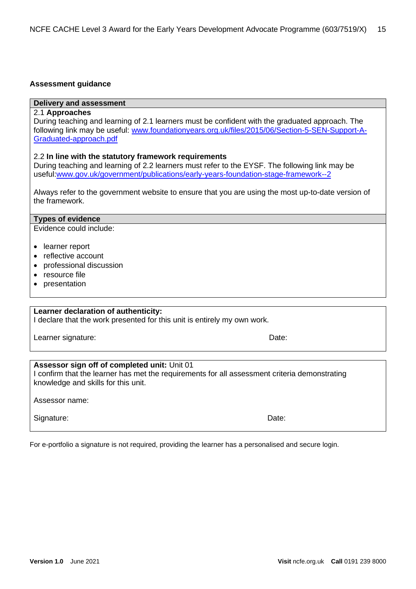#### <span id="page-14-0"></span>**Assessment guidance**

#### **Delivery and assessment**

#### 2.1 **Approaches**

During teaching and learning of 2.1 learners must be confident with the graduated approach. The following link may be useful: [www.foundationyears.org.uk/files/2015/06/Section-5-SEN-Support-A-](https://www.foundationyears.org.uk/files/2015/06/Section-5-SEN-Support-A-Graduated-approach.pdf)[Graduated-approach.pdf](https://www.foundationyears.org.uk/files/2015/06/Section-5-SEN-Support-A-Graduated-approach.pdf)

#### 2.2 **In line with the statutory framework requirements**

During teaching and learning of 2.2 learners must refer to the EYSF. The following link may be useful[:www.gov.uk/government/publications/early-years-foundation-stage-framework--2](https://www.gov.uk/government/publications/early-years-foundation-stage-framework--2)

|                | Always refer to the government website to ensure that you are using the most up-to-date version of |  |  |  |
|----------------|----------------------------------------------------------------------------------------------------|--|--|--|
| the framework. |                                                                                                    |  |  |  |

#### **Types of evidence**

Evidence could include:

- learner report
- reflective account
- professional discussion
- resource file
- presentation

#### **Learner declaration of authenticity:**

I declare that the work presented for this unit is entirely my own work.

Learner signature: Date:

#### **Assessor sign off of completed unit:** Unit 01

I confirm that the learner has met the requirements for all assessment criteria demonstrating knowledge and skills for this unit.

Assessor name:

Signature: **Date: Date: Date: Date: Date: Date: Date: Date: Date: Date: Date: Date: Date: Date: Date: Date: Date: Date: Date: Date: Date: Date: Date: Date: Date: Date: Da** 

For e-portfolio a signature is not required, providing the learner has a personalised and secure login.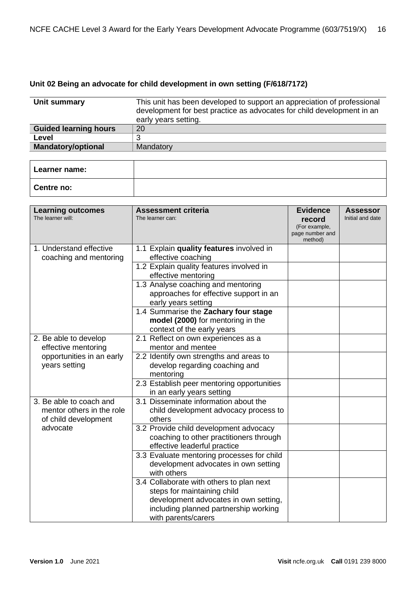#### <span id="page-15-0"></span>**Unit 02 Being an advocate for child development in own setting (F/618/7172)**

| Unit summary                 | This unit has been developed to support an appreciation of professional<br>development for best practice as advocates for child development in an<br>early years setting. |  |
|------------------------------|---------------------------------------------------------------------------------------------------------------------------------------------------------------------------|--|
| <b>Guided learning hours</b> | 20                                                                                                                                                                        |  |
| Level                        | 3                                                                                                                                                                         |  |
| <b>Mandatory/optional</b>    | Mandatory                                                                                                                                                                 |  |
|                              |                                                                                                                                                                           |  |
| Learner name:                |                                                                                                                                                                           |  |
| Centre no:                   |                                                                                                                                                                           |  |

| <b>Learning outcomes</b><br>The learner will:                                | <b>Assessment criteria</b><br>The learner can:                                                                                                                                   | <b>Evidence</b><br>record<br>(For example,<br>page number and<br>method) | <b>Assessor</b><br>Initial and date |
|------------------------------------------------------------------------------|----------------------------------------------------------------------------------------------------------------------------------------------------------------------------------|--------------------------------------------------------------------------|-------------------------------------|
| 1. Understand effective<br>coaching and mentoring                            | 1.1 Explain quality features involved in<br>effective coaching                                                                                                                   |                                                                          |                                     |
|                                                                              | 1.2 Explain quality features involved in<br>effective mentoring                                                                                                                  |                                                                          |                                     |
|                                                                              | 1.3 Analyse coaching and mentoring<br>approaches for effective support in an<br>early years setting                                                                              |                                                                          |                                     |
|                                                                              | 1.4 Summarise the Zachary four stage<br>model (2000) for mentoring in the<br>context of the early years                                                                          |                                                                          |                                     |
| 2. Be able to develop<br>effective mentoring                                 | 2.1 Reflect on own experiences as a<br>mentor and mentee                                                                                                                         |                                                                          |                                     |
| opportunities in an early<br>years setting                                   | 2.2 Identify own strengths and areas to<br>develop regarding coaching and<br>mentoring                                                                                           |                                                                          |                                     |
|                                                                              | 2.3 Establish peer mentoring opportunities<br>in an early years setting                                                                                                          |                                                                          |                                     |
| 3. Be able to coach and<br>mentor others in the role<br>of child development | 3.1 Disseminate information about the<br>child development advocacy process to<br>others                                                                                         |                                                                          |                                     |
| advocate                                                                     | 3.2 Provide child development advocacy<br>coaching to other practitioners through<br>effective leaderful practice                                                                |                                                                          |                                     |
|                                                                              | 3.3 Evaluate mentoring processes for child<br>development advocates in own setting<br>with others                                                                                |                                                                          |                                     |
|                                                                              | 3.4 Collaborate with others to plan next<br>steps for maintaining child<br>development advocates in own setting,<br>including planned partnership working<br>with parents/carers |                                                                          |                                     |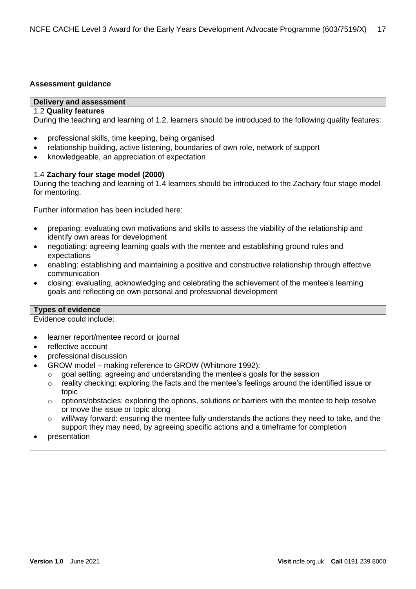#### <span id="page-16-0"></span>**Assessment guidance**

#### **Delivery and assessment**

#### 1.2 **Quality features**

During the teaching and learning of 1.2, learners should be introduced to the following quality features:

- professional skills, time keeping, being organised
- relationship building, active listening, boundaries of own role, network of support
- knowledgeable, an appreciation of expectation

#### 1.4 **Zachary four stage model (2000)**

During the teaching and learning of 1.4 learners should be introduced to the Zachary four stage model for mentoring.

Further information has been included here:

- preparing: evaluating own motivations and skills to assess the viability of the relationship and identify own areas for development
- negotiating: agreeing learning goals with the mentee and establishing ground rules and expectations
- enabling: establishing and maintaining a positive and constructive relationship through effective communication
- closing: evaluating, acknowledging and celebrating the achievement of the mentee's learning goals and reflecting on own personal and professional development

#### **Types of evidence**

Evidence could include:

- learner report/mentee record or journal
- reflective account
- professional discussion
- GROW model making reference to GROW (Whitmore 1992):
	- $\circ$  goal setting: agreeing and understanding the mentee's goals for the session
	- $\circ$  reality checking: exploring the facts and the mentee's feelings around the identified issue or topic
	- $\circ$  options/obstacles: exploring the options, solutions or barriers with the mentee to help resolve or move the issue or topic along
	- $\circ$  will/way forward: ensuring the mentee fully understands the actions they need to take, and the support they may need, by agreeing specific actions and a timeframe for completion
- presentation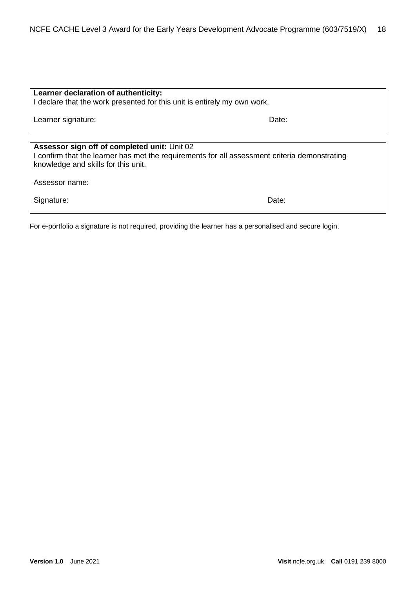| Learner declaration of authenticity:<br>I declare that the work presented for this unit is entirely my own work.                                                                                       |       |  |  |
|--------------------------------------------------------------------------------------------------------------------------------------------------------------------------------------------------------|-------|--|--|
| Learner signature:                                                                                                                                                                                     | Date: |  |  |
| Assessor sign off of completed unit: Unit 02<br>I confirm that the learner has met the requirements for all assessment criteria demonstrating<br>knowledge and skills for this unit.<br>Assessor name: |       |  |  |
| Signature:                                                                                                                                                                                             | Date: |  |  |

For e-portfolio a signature is not required, providing the learner has a personalised and secure login.

٦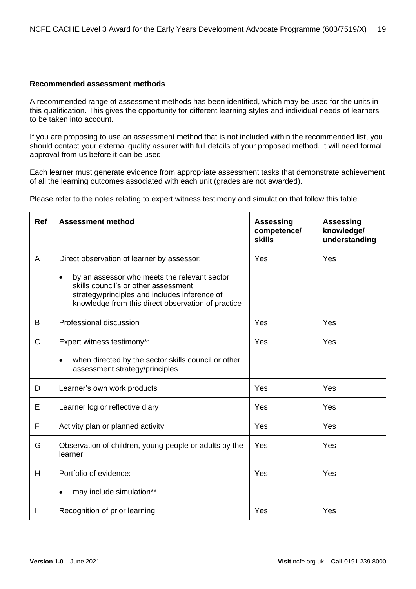#### <span id="page-18-0"></span>**Recommended assessment methods**

A recommended range of assessment methods has been identified, which may be used for the units in this qualification. This gives the opportunity for different learning styles and individual needs of learners to be taken into account.

If you are proposing to use an assessment method that is not included within the recommended list, you should contact your external quality assurer with full details of your proposed method. It will need formal approval from us before it can be used.

Each learner must generate evidence from appropriate assessment tasks that demonstrate achievement of all the learning outcomes associated with each unit (grades are not awarded).

Please refer to the notes relating to expert witness testimony and simulation that follow this table.

| <b>Ref</b>   | <b>Assessment method</b>                                                                                                                                                                         | <b>Assessing</b><br>competence/<br><b>skills</b> | <b>Assessing</b><br>knowledge/<br>understanding |
|--------------|--------------------------------------------------------------------------------------------------------------------------------------------------------------------------------------------------|--------------------------------------------------|-------------------------------------------------|
| A            | Direct observation of learner by assessor:<br>by an assessor who meets the relevant sector<br>$\bullet$<br>skills council's or other assessment<br>strategy/principles and includes inference of | Yes                                              | Yes                                             |
|              | knowledge from this direct observation of practice                                                                                                                                               |                                                  |                                                 |
| B            | Professional discussion                                                                                                                                                                          | Yes                                              | Yes                                             |
| $\mathsf{C}$ | Expert witness testimony*:                                                                                                                                                                       | Yes                                              | Yes                                             |
|              | when directed by the sector skills council or other<br>$\bullet$<br>assessment strategy/principles                                                                                               |                                                  |                                                 |
| D            | Learner's own work products                                                                                                                                                                      | Yes                                              | Yes                                             |
| E            | Learner log or reflective diary                                                                                                                                                                  | Yes                                              | Yes                                             |
| F            | Activity plan or planned activity                                                                                                                                                                | Yes                                              | Yes                                             |
| G            | Observation of children, young people or adults by the<br>learner                                                                                                                                | Yes                                              | Yes                                             |
| H            | Portfolio of evidence:                                                                                                                                                                           | Yes                                              | Yes                                             |
|              | may include simulation**                                                                                                                                                                         |                                                  |                                                 |
|              | Recognition of prior learning                                                                                                                                                                    | Yes                                              | Yes                                             |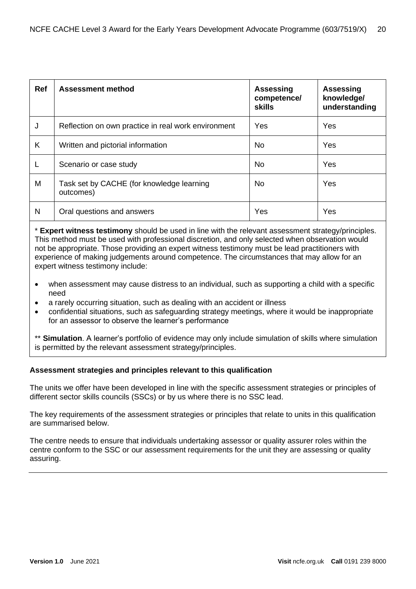| <b>Ref</b> | <b>Assessment method</b>                               | <b>Assessing</b><br>competence/<br><b>skills</b> | <b>Assessing</b><br>knowledge/<br>understanding |
|------------|--------------------------------------------------------|--------------------------------------------------|-------------------------------------------------|
| J          | Reflection on own practice in real work environment    | Yes                                              | Yes                                             |
| Κ          | Written and pictorial information                      | No.                                              | Yes                                             |
| L          | Scenario or case study                                 | No.                                              | Yes                                             |
| M          | Task set by CACHE (for knowledge learning<br>outcomes) | No.                                              | Yes                                             |
| N          | Oral questions and answers                             | Yes                                              | Yes                                             |

\* **Expert witness testimony** should be used in line with the relevant assessment strategy/principles. This method must be used with professional discretion, and only selected when observation would not be appropriate. Those providing an expert witness testimony must be lead practitioners with experience of making judgements around competence. The circumstances that may allow for an expert witness testimony include:

- when assessment may cause distress to an individual, such as supporting a child with a specific need
- a rarely occurring situation, such as dealing with an accident or illness
- confidential situations, such as safeguarding strategy meetings, where it would be inappropriate for an assessor to observe the learner's performance

\*\* **Simulation**. A learner's portfolio of evidence may only include simulation of skills where simulation is permitted by the relevant assessment strategy/principles.

#### <span id="page-19-0"></span>**Assessment strategies and principles relevant to this qualification**

The units we offer have been developed in line with the specific assessment strategies or principles of different sector skills councils (SSCs) or by us where there is no SSC lead.

The key requirements of the assessment strategies or principles that relate to units in this qualification are summarised below.

The centre needs to ensure that individuals undertaking assessor or quality assurer roles within the centre conform to the SSC or our assessment requirements for the unit they are assessing or quality assuring.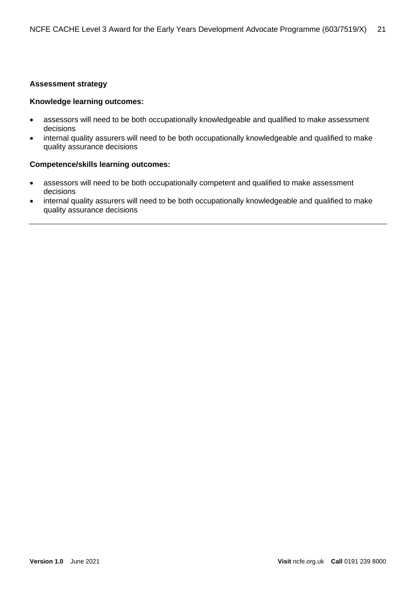#### **Assessment strategy**

#### **Knowledge learning outcomes:**

- assessors will need to be both occupationally knowledgeable and qualified to make assessment decisions
- internal quality assurers will need to be both occupationally knowledgeable and qualified to make quality assurance decisions

#### **Competence/skills learning outcomes:**

- assessors will need to be both occupationally competent and qualified to make assessment decisions
- internal quality assurers will need to be both occupationally knowledgeable and qualified to make quality assurance decisions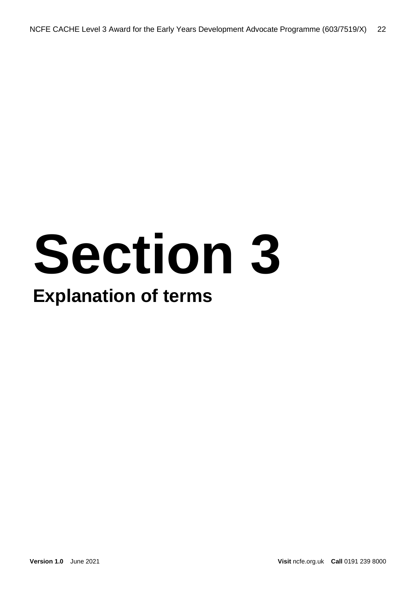# **Section 3**

## **Explanation of terms**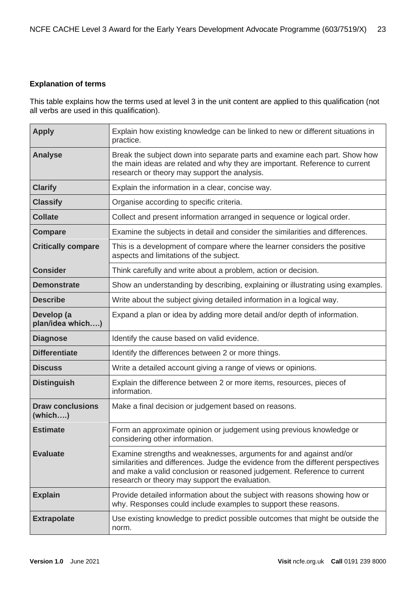#### <span id="page-22-0"></span>**Explanation of terms**

This table explains how the terms used at level 3 in the unit content are applied to this qualification (not all verbs are used in this qualification).

| <b>Apply</b>                       | Explain how existing knowledge can be linked to new or different situations in<br>practice.                                                                                                                                                                                         |
|------------------------------------|-------------------------------------------------------------------------------------------------------------------------------------------------------------------------------------------------------------------------------------------------------------------------------------|
| <b>Analyse</b>                     | Break the subject down into separate parts and examine each part. Show how<br>the main ideas are related and why they are important. Reference to current<br>research or theory may support the analysis.                                                                           |
| <b>Clarify</b>                     | Explain the information in a clear, concise way.                                                                                                                                                                                                                                    |
| <b>Classify</b>                    | Organise according to specific criteria.                                                                                                                                                                                                                                            |
| <b>Collate</b>                     | Collect and present information arranged in sequence or logical order.                                                                                                                                                                                                              |
| <b>Compare</b>                     | Examine the subjects in detail and consider the similarities and differences.                                                                                                                                                                                                       |
| <b>Critically compare</b>          | This is a development of compare where the learner considers the positive<br>aspects and limitations of the subject.                                                                                                                                                                |
| <b>Consider</b>                    | Think carefully and write about a problem, action or decision.                                                                                                                                                                                                                      |
| <b>Demonstrate</b>                 | Show an understanding by describing, explaining or illustrating using examples.                                                                                                                                                                                                     |
| <b>Describe</b>                    | Write about the subject giving detailed information in a logical way.                                                                                                                                                                                                               |
| Develop (a<br>plan/idea which)     | Expand a plan or idea by adding more detail and/or depth of information.                                                                                                                                                                                                            |
| <b>Diagnose</b>                    | Identify the cause based on valid evidence.                                                                                                                                                                                                                                         |
| <b>Differentiate</b>               | Identify the differences between 2 or more things.                                                                                                                                                                                                                                  |
| <b>Discuss</b>                     | Write a detailed account giving a range of views or opinions.                                                                                                                                                                                                                       |
| <b>Distinguish</b>                 | Explain the difference between 2 or more items, resources, pieces of<br>information.                                                                                                                                                                                                |
| <b>Draw conclusions</b><br>(which) | Make a final decision or judgement based on reasons.                                                                                                                                                                                                                                |
| <b>Estimate</b>                    | Form an approximate opinion or judgement using previous knowledge or<br>considering other information.                                                                                                                                                                              |
| <b>Evaluate</b>                    | Examine strengths and weaknesses, arguments for and against and/or<br>similarities and differences. Judge the evidence from the different perspectives<br>and make a valid conclusion or reasoned judgement. Reference to current<br>research or theory may support the evaluation. |
| <b>Explain</b>                     | Provide detailed information about the subject with reasons showing how or<br>why. Responses could include examples to support these reasons.                                                                                                                                       |
| <b>Extrapolate</b>                 | Use existing knowledge to predict possible outcomes that might be outside the<br>norm.                                                                                                                                                                                              |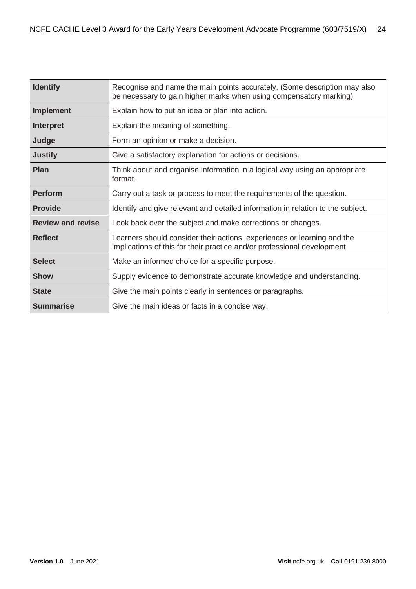| <b>Identify</b>          | Recognise and name the main points accurately. (Some description may also<br>be necessary to gain higher marks when using compensatory marking).    |
|--------------------------|-----------------------------------------------------------------------------------------------------------------------------------------------------|
| <b>Implement</b>         | Explain how to put an idea or plan into action.                                                                                                     |
| Interpret                | Explain the meaning of something.                                                                                                                   |
| Judge                    | Form an opinion or make a decision.                                                                                                                 |
| <b>Justify</b>           | Give a satisfactory explanation for actions or decisions.                                                                                           |
| Plan                     | Think about and organise information in a logical way using an appropriate<br>format.                                                               |
| <b>Perform</b>           | Carry out a task or process to meet the requirements of the question.                                                                               |
| <b>Provide</b>           | Identify and give relevant and detailed information in relation to the subject.                                                                     |
| <b>Review and revise</b> | Look back over the subject and make corrections or changes.                                                                                         |
| <b>Reflect</b>           | Learners should consider their actions, experiences or learning and the<br>implications of this for their practice and/or professional development. |
| <b>Select</b>            | Make an informed choice for a specific purpose.                                                                                                     |
| <b>Show</b>              | Supply evidence to demonstrate accurate knowledge and understanding.                                                                                |
| <b>State</b>             | Give the main points clearly in sentences or paragraphs.                                                                                            |
| <b>Summarise</b>         | Give the main ideas or facts in a concise way.                                                                                                      |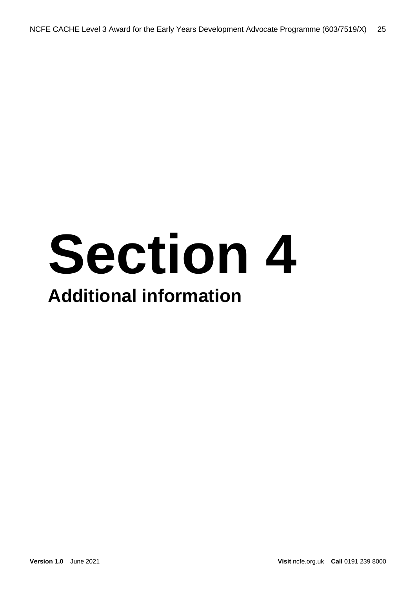## **Section 4 Additional information**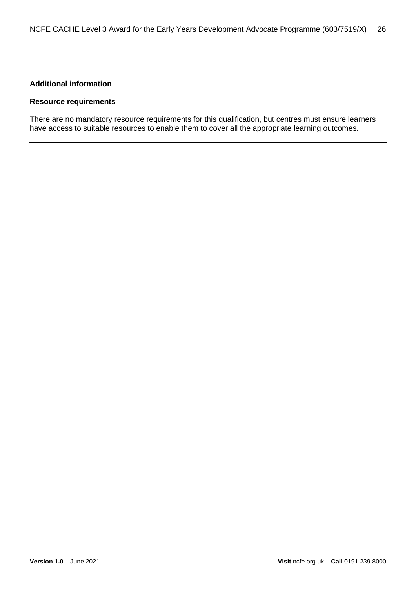#### <span id="page-25-0"></span>**Additional information**

#### <span id="page-25-1"></span>**Resource requirements**

There are no mandatory resource requirements for this qualification, but centres must ensure learners have access to suitable resources to enable them to cover all the appropriate learning outcomes.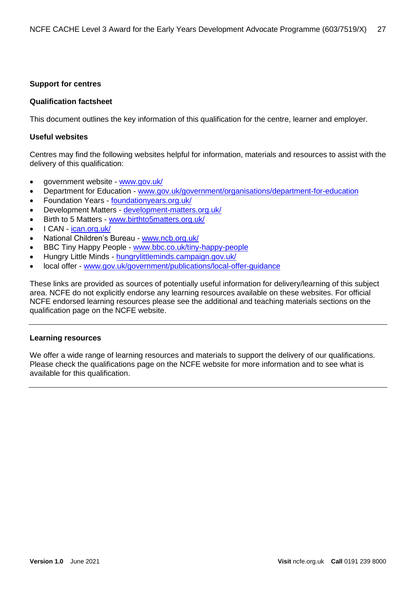#### <span id="page-26-0"></span>**Support for centres**

#### **Qualification factsheet**

This document outlines the key information of this qualification for the centre, learner and employer.

#### **Useful websites**

Centres may find the following websites helpful for information, materials and resources to assist with the delivery of this qualification:

- government website [www.gov.uk/](https://www.gov.uk/)
- Department for Education [www.gov.uk/government/organisations/department-for-education](https://www.gov.uk/government/organisations/department-for-education)
- Foundation Years [foundationyears.org.uk/](https://foundationyears.org.uk/)
- Development Matters [development-matters.org.uk/](http://development-matters.org.uk/)
- Birth to 5 Matters [www.birthto5matters.org.uk/](https://www.birthto5matters.org.uk/)
- I CAN ican.org.uk
- National Children's Bureau [www.ncb.org.uk/](https://www.ncb.org.uk/)
- BBC Tiny Happy People [www.bbc.co.uk/tiny-happy-people](https://www.bbc.co.uk/tiny-happy-people)
- Hungry Little Minds [hungrylittleminds.campaign.gov.uk/](https://hungrylittleminds.campaign.gov.uk/)
- local offer [www.gov.uk/government/publications/local-offer-guidance](https://www.gov.uk/government/publications/local-offer-guidance)

These links are provided as sources of potentially useful information for delivery/learning of this subject area. NCFE do not explicitly endorse any learning resources available on these websites. For official NCFE endorsed learning resources please see the additional and teaching materials sections on the qualification page on the NCFE website.

#### <span id="page-26-1"></span>**Learning resources**

We offer a wide range of learning resources and materials to support the delivery of our qualifications. Please check the qualifications page on the NCFE website for more information and to see what is available for this qualification.